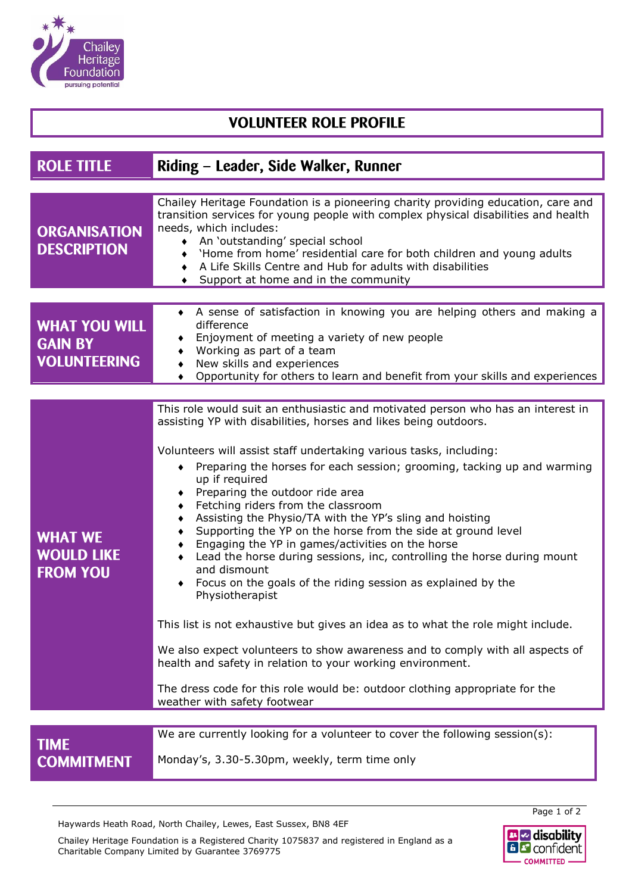

## **VOLUNTEER ROLE PROFILE**

| <b>ROLE TITLE</b>                                             | Riding – Leader, Side Walker, Runner                                                                                                                                                                                                                                                                                                                                                                                                                                                                                                                                                                                                                                                                                                                                               |  |
|---------------------------------------------------------------|------------------------------------------------------------------------------------------------------------------------------------------------------------------------------------------------------------------------------------------------------------------------------------------------------------------------------------------------------------------------------------------------------------------------------------------------------------------------------------------------------------------------------------------------------------------------------------------------------------------------------------------------------------------------------------------------------------------------------------------------------------------------------------|--|
|                                                               |                                                                                                                                                                                                                                                                                                                                                                                                                                                                                                                                                                                                                                                                                                                                                                                    |  |
| <b>ORGANISATION</b><br><b>DESCRIPTION</b>                     | Chailey Heritage Foundation is a pioneering charity providing education, care and<br>transition services for young people with complex physical disabilities and health<br>needs, which includes:<br>◆ An 'outstanding' special school<br>'Home from home' residential care for both children and young adults<br>A Life Skills Centre and Hub for adults with disabilities<br>Support at home and in the community<br>$\bullet$                                                                                                                                                                                                                                                                                                                                                   |  |
|                                                               |                                                                                                                                                                                                                                                                                                                                                                                                                                                                                                                                                                                                                                                                                                                                                                                    |  |
| <b>WHAT YOU WILL</b><br><b>GAIN BY</b><br><b>VOLUNTEERING</b> | • A sense of satisfaction in knowing you are helping others and making a<br>difference<br>Enjoyment of meeting a variety of new people<br>Working as part of a team<br>New skills and experiences<br>Opportunity for others to learn and benefit from your skills and experiences                                                                                                                                                                                                                                                                                                                                                                                                                                                                                                  |  |
|                                                               |                                                                                                                                                                                                                                                                                                                                                                                                                                                                                                                                                                                                                                                                                                                                                                                    |  |
| <b>WHAT WE</b><br><b>WOULD LIKE</b><br><b>FROM YOU</b>        | This role would suit an enthusiastic and motivated person who has an interest in<br>assisting YP with disabilities, horses and likes being outdoors.<br>Volunteers will assist staff undertaking various tasks, including:<br>Preparing the horses for each session; grooming, tacking up and warming<br>up if required<br>Preparing the outdoor ride area<br>٠<br>Fetching riders from the classroom<br>٠<br>Assisting the Physio/TA with the YP's sling and hoisting<br>٠<br>Supporting the YP on the horse from the side at ground level<br>Engaging the YP in games/activities on the horse<br>٠<br>Lead the horse during sessions, inc, controlling the horse during mount<br>and dismount<br>Focus on the goals of the riding session as explained by the<br>Physiotherapist |  |
|                                                               | This list is not exhaustive but gives an idea as to what the role might include.<br>We also expect volunteers to show awareness and to comply with all aspects of                                                                                                                                                                                                                                                                                                                                                                                                                                                                                                                                                                                                                  |  |
|                                                               | health and safety in relation to your working environment.                                                                                                                                                                                                                                                                                                                                                                                                                                                                                                                                                                                                                                                                                                                         |  |
|                                                               | The dress code for this role would be: outdoor clothing appropriate for the<br>weather with safety footwear                                                                                                                                                                                                                                                                                                                                                                                                                                                                                                                                                                                                                                                                        |  |
|                                                               |                                                                                                                                                                                                                                                                                                                                                                                                                                                                                                                                                                                                                                                                                                                                                                                    |  |
| <b>TIME</b><br><b>COMMITMENT</b>                              | We are currently looking for a volunteer to cover the following session(s):<br>Monday's, 3.30-5.30pm, weekly, term time only                                                                                                                                                                                                                                                                                                                                                                                                                                                                                                                                                                                                                                                       |  |

Haywards Heath Road, North Chailey, Lewes, East Sussex, BN8 4EF

Chailey Heritage Foundation is a Registered Charity 1075837 and registered in England as a Charitable Company Limited by Guarantee 3769775



Page 1 of 2